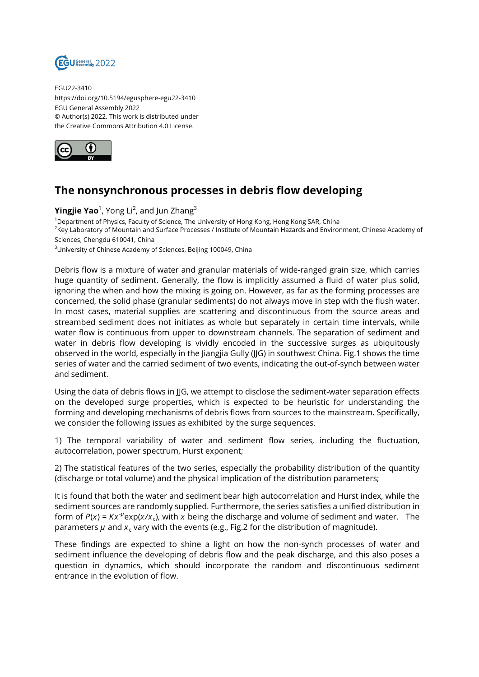

EGU22-3410 https://doi.org/10.5194/egusphere-egu22-3410 EGU General Assembly 2022 © Author(s) 2022. This work is distributed under the Creative Commons Attribution 4.0 License.



## **The nonsynchronous processes in debris flow developing**

**Yingjie Yao**<sup>1</sup>, Yong Li<sup>2</sup>, and Jun Zhang<sup>3</sup>

<sup>1</sup>Department of Physics, Faculty of Science, The University of Hong Kong, Hong Kong SAR, China <sup>2</sup>Key Laboratory of Mountain and Surface Processes / Institute of Mountain Hazards and Environment, Chinese Academy of Sciences, Chengdu 610041, China

<sup>3</sup>University of Chinese Academy of Sciences, Beijing 100049, China

Debris flow is a mixture of water and granular materials of wide-ranged grain size, which carries huge quantity of sediment. Generally, the flow is implicitly assumed a fluid of water plus solid, ignoring the when and how the mixing is going on. However, as far as the forming processes are concerned, the solid phase (granular sediments) do not always move in step with the flush water. In most cases, material supplies are scattering and discontinuous from the source areas and streambed sediment does not initiates as whole but separately in certain time intervals, while water flow is continuous from upper to downstream channels. The separation of sediment and water in debris flow developing is vividly encoded in the successive surges as ubiquitously observed in the world, especially in the Jiangjia Gully (JJG) in southwest China. Fig.1 shows the time series of water and the carried sediment of two events, indicating the out-of-synch between water and sediment.

Using the data of debris flows in JJG, we attempt to disclose the sediment-water separation effects on the developed surge properties, which is expected to be heuristic for understanding the forming and developing mechanisms of debris flows from sources to the mainstream. Specifically, we consider the following issues as exhibited by the surge sequences.

1) The temporal variability of water and sediment flow series, including the fluctuation, autocorrelation, power spectrum, Hurst exponent;

2) The statistical features of the two series, especially the probability distribution of the quantity (discharge or total volume) and the physical implication of the distribution parameters;

It is found that both the water and sediment bear high autocorrelation and Hurst index, while the sediment sources are randomly supplied. Furthermore, the series satisfies a unified distribution in form of  $P(x) = Kx^{\mu}e^{x/x_c}$ , with x being the discharge and volume of sediment and water. The parameters  $\mu$  and  $x_{\mathfrak{c}}$  vary with the events (e.g., Fig.2 for the distribution of magnitude).

These findings are expected to shine a light on how the non-synch processes of water and sediment influence the developing of debris flow and the peak discharge, and this also poses a question in dynamics, which should incorporate the random and discontinuous sediment entrance in the evolution of flow.